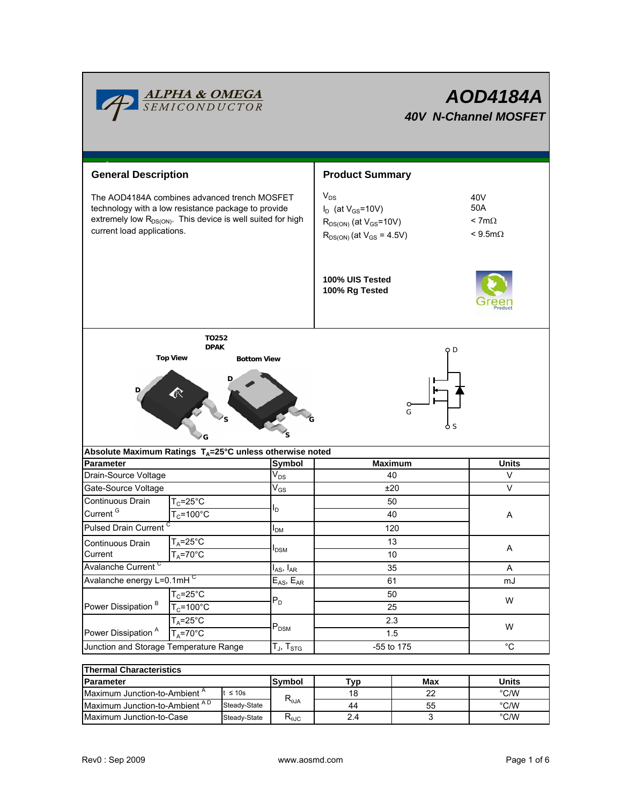

| <b>General Description</b>                                                                                                                                                                                   |                      |                            | <b>Product Summary</b>                                                                                        |                                                           |  |  |
|--------------------------------------------------------------------------------------------------------------------------------------------------------------------------------------------------------------|----------------------|----------------------------|---------------------------------------------------------------------------------------------------------------|-----------------------------------------------------------|--|--|
| The AOD4184A combines advanced trench MOSFET<br>technology with a low resistance package to provide<br>extremely low R <sub>DS(ON)</sub> . This device is well suited for high<br>current load applications. |                      |                            | $V_{DS}$<br>$I_D$ (at $V_{GS}$ =10V)<br>$R_{DS(ON)}$ (at $V_{GS}$ =10V)<br>$R_{DS(ON)}$ (at $V_{GS} = 4.5V$ ) | 40 <sub>V</sub><br>50A<br>$< 7m\Omega$<br>$< 9.5 m\Omega$ |  |  |
|                                                                                                                                                                                                              |                      |                            | 100% UIS Tested<br>100% Rg Tested                                                                             |                                                           |  |  |
| TO252                                                                                                                                                                                                        |                      |                            |                                                                                                               |                                                           |  |  |
| <b>DPAK</b><br><b>Top View</b><br><b>Bottom View</b>                                                                                                                                                         |                      |                            | ФD                                                                                                            |                                                           |  |  |
| G                                                                                                                                                                                                            |                      |                            |                                                                                                               |                                                           |  |  |
| Absolute Maximum Ratings T <sub>A</sub> =25°C unless otherwise noted                                                                                                                                         |                      | <b>Symbol</b>              |                                                                                                               | <b>Units</b>                                              |  |  |
| <b>Parameter</b><br>Drain-Source Voltage                                                                                                                                                                     |                      | $V_{DS}$                   | <b>Maximum</b><br>40                                                                                          | V                                                         |  |  |
| Gate-Source Voltage                                                                                                                                                                                          |                      | $\mathsf{V}_{\mathsf{GS}}$ | ±20                                                                                                           | V                                                         |  |  |
| Continuous Drain                                                                                                                                                                                             | $T_C = 25^\circ C$   |                            | 50                                                                                                            |                                                           |  |  |
| Current <sup>G</sup>                                                                                                                                                                                         | $T_c = 100^{\circ}C$ | I <sub>D</sub>             | 40                                                                                                            | Α                                                         |  |  |
| Pulsed Drain Current                                                                                                                                                                                         |                      | I <sub>DM</sub>            | 120                                                                                                           |                                                           |  |  |
| Continuous Drain                                                                                                                                                                                             | $T_A = 25$ °C        |                            | 13                                                                                                            |                                                           |  |  |
| Current                                                                                                                                                                                                      | $T_A = 70^\circ C$   | $I_{DSM}$                  | 10                                                                                                            | Α                                                         |  |  |
| Avalanche Current <sup>C</sup>                                                                                                                                                                               |                      | $I_{AS}$ , $I_{AR}$        | 35                                                                                                            | A                                                         |  |  |
| Avalanche energy L=0.1mHC                                                                                                                                                                                    |                      | $E_{AS}$ , $E_{AR}$        | 61                                                                                                            | mJ                                                        |  |  |
| Power Dissipation <sup>B</sup>                                                                                                                                                                               | $T_c = 25$ °C        | $P_D$                      | 50                                                                                                            | W                                                         |  |  |
|                                                                                                                                                                                                              | $T_c = 100^{\circ}C$ |                            | 25                                                                                                            |                                                           |  |  |
|                                                                                                                                                                                                              | $T_A = 25$ °C        | $P_{DSM}$                  | 2.3                                                                                                           | W                                                         |  |  |
| Power Dissipation <sup>A</sup>                                                                                                                                                                               | $T_A = 70^\circ C$   |                            | 1.5                                                                                                           |                                                           |  |  |
| Junction and Storage Temperature Range                                                                                                                                                                       |                      | $T_J$ , $T_{STG}$          | $-55$ to 175                                                                                                  | $\overline{C}$                                            |  |  |
| ļ                                                                                                                                                                                                            |                      |                            |                                                                                                               |                                                           |  |  |

| <b>Thermal Characteristics</b>           |                              |                        |     |              |      |  |  |  |
|------------------------------------------|------------------------------|------------------------|-----|--------------|------|--|--|--|
| <b>IParameter</b>                        | Symbol                       | Tvp                    | Max | <b>Units</b> |      |  |  |  |
| Maximum Junction-to-Ambient <sup>A</sup> | $\leq 10s$<br>$R_{\theta$ JA |                        | 18  | າາ           | °C/W |  |  |  |
| Maximum Junction-to-Ambient AD           | Steady-State                 |                        | 44  | 55           | °C/W |  |  |  |
| Maximum Junction-to-Case                 | Steady-State                 | $R_{\theta \text{JC}}$ | 2.4 |              | °C/W |  |  |  |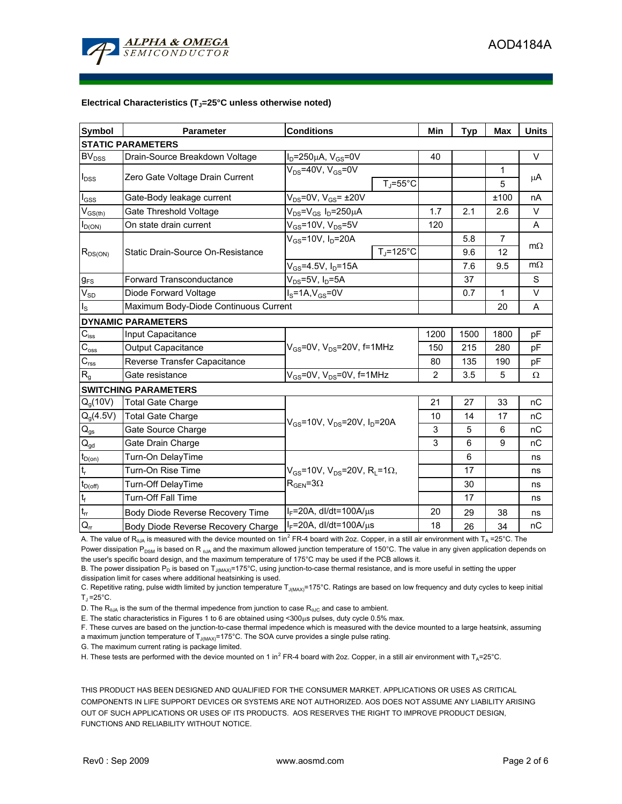

#### Electrical Characteristics (T<sub>J</sub>=25°C unless otherwise noted)

| <b>Symbol</b>                 | <b>Conditions</b><br><b>Parameter</b> |                                                                                                 |                     | Min            | <b>Typ</b> | <b>Max</b>     | <b>Units</b> |  |  |
|-------------------------------|---------------------------------------|-------------------------------------------------------------------------------------------------|---------------------|----------------|------------|----------------|--------------|--|--|
| <b>STATIC PARAMETERS</b>      |                                       |                                                                                                 |                     |                |            |                |              |  |  |
| BV <sub>DSS</sub>             | Drain-Source Breakdown Voltage        | $I_D = 250 \mu A$ , $V_{GS} = 0V$                                                               |                     | 40             |            |                | $\vee$       |  |  |
|                               |                                       | $V_{DS}$ =40V, $V_{GS}$ =0V                                                                     |                     |                |            | 1              |              |  |  |
| $I_{DSS}$                     | Zero Gate Voltage Drain Current       |                                                                                                 | $T_J = 55^{\circ}C$ |                |            | 5              | $\mu$ A      |  |  |
| $I_{GSS}$                     | Gate-Body leakage current             | $V_{DS}$ =0V, $V_{GS}$ = ±20V                                                                   |                     |                |            | ±100           | nA           |  |  |
| $V_{GS(th)}$                  | Gate Threshold Voltage                | $V_{DS} = V_{GS} I_D = 250 \mu A$                                                               |                     |                | 2.1        | 2.6            | $\vee$       |  |  |
| $I_{D(ON)}$                   | On state drain current                | $V_{GS}$ =10V, $V_{DS}$ =5V                                                                     |                     | 120            |            |                | A            |  |  |
| $R_{DS(ON)}$                  |                                       | $V_{GS}$ =10V, $I_D$ =20A                                                                       |                     |                | 5.8        | $\overline{7}$ | $m\Omega$    |  |  |
|                               | Static Drain-Source On-Resistance     |                                                                                                 | $T_J = 125$ °C      |                | 9.6        | 12             |              |  |  |
|                               |                                       | $V_{GS}$ =4.5V, $I_D$ =15A                                                                      |                     |                | 7.6        | 9.5            | $m\Omega$    |  |  |
| $g_{FS}$                      | <b>Forward Transconductance</b>       | $V_{DS}$ =5V, I <sub>D</sub> =5A                                                                |                     |                | 37         |                | S            |  |  |
| $V_{SD}$                      | Diode Forward Voltage                 | $I_S = 1A$ , $V_{GS} = 0V$                                                                      |                     |                | 0.7        | $\mathbf{1}$   | V            |  |  |
| $I_{\rm S}$                   | Maximum Body-Diode Continuous Current |                                                                                                 |                     |                |            | 20             | A            |  |  |
|                               | <b>DYNAMIC PARAMETERS</b>             |                                                                                                 |                     |                |            |                |              |  |  |
| $\mathbf{C}_{\text{iss}}$     | Input Capacitance                     |                                                                                                 |                     | 1200           | 1500       | 1800           | pF           |  |  |
| $\overline{C_{\text{oss}}}$   | Output Capacitance                    | $V_{GS}$ =0V, $V_{DS}$ =20V, f=1MHz                                                             |                     | 150            | 215        | 280            | рF           |  |  |
| $C_{\rm rss}$                 | Reverse Transfer Capacitance          |                                                                                                 |                     | 80             | 135        | 190            | pF           |  |  |
| $R_{\rm g}$                   | Gate resistance                       | $V_{GS}$ =0V, $V_{DS}$ =0V, f=1MHz                                                              |                     | $\overline{2}$ | 3.5        | 5              | Ω            |  |  |
|                               | <b>SWITCHING PARAMETERS</b>           |                                                                                                 |                     |                |            |                |              |  |  |
| $Q_q(10V)$                    | <b>Total Gate Charge</b>              | $V_{GS}$ =10V, $V_{DS}$ =20V, $I_D$ =20A                                                        |                     | 21             | 27         | 33             | nC           |  |  |
| $Q_g(4.5V)$                   | <b>Total Gate Charge</b>              |                                                                                                 |                     | 10             | 14         | 17             | nC           |  |  |
| $\mathbf{Q}_\text{gs}$        | Gate Source Charge                    |                                                                                                 |                     |                | 5          | 6              | nC           |  |  |
| $\mathbf{Q}_{\text{gd}}$      | Gate Drain Charge                     |                                                                                                 |                     | 3              | 6          | 9              | nC           |  |  |
| $t_{D(0n)}$                   | Turn-On DelayTime                     |                                                                                                 |                     |                | 6          |                | ns           |  |  |
| $\mathsf{t}_{\sf r}$          | Turn-On Rise Time                     | $V_{GS}$ =10V, V <sub>DS</sub> =20V, R <sub>L</sub> =1 $\Omega$ ,<br>$R_{\text{GEN}} = 3\Omega$ |                     |                | 17         |                | ns           |  |  |
| $t_{D(off)}$                  | Turn-Off DelayTime                    |                                                                                                 |                     |                | 30         |                | ns           |  |  |
| $\mathfrak{t}_{\mathsf{f}}$   | Turn-Off Fall Time                    |                                                                                                 |                     |                | 17         |                | ns           |  |  |
| $\frac{t_{\rm T}}{Q_{\rm T}}$ | Body Diode Reverse Recovery Time      | $I_F$ =20A, dl/dt=100A/ $\mu$ s                                                                 |                     | 20             | 29         | 38             | ns           |  |  |
|                               | Body Diode Reverse Recovery Charge    | $I_F = 20A$ , dl/dt=100A/ $\mu$ s                                                               |                     | 18             | 26         | 34             | nC           |  |  |

A. The value of R<sub>0JA</sub> is measured with the device mounted on 1in<sup>2</sup> FR-4 board with 2oz. Copper, in a still air environment with T<sub>A</sub> =25°C. The Power dissipation P<sub>DSM</sub> is based on R <sub>θ</sub><sub>Α</sub> and the maximum allowed junction temperature of 150°C. The value in any given application depends on the user's specific board design, and the maximum temperature of 175°C may be used if the PCB allows it.

B. The power dissipation  $P_D$  is based on  $T_{J(MAX)}$ =175°C, using junction-to-case thermal resistance, and is more useful in setting the upper dissipation limit for cases where additional heatsinking is used.

C. Repetitive rating, pulse width limited by junction temperature T<sub>J(MAX)</sub>=175°C. Ratings are based on low frequency and duty cycles to keep initial  $T_{\text{J}}$  =25°C.

D. The  $R_{0JA}$  is the sum of the thermal impedence from junction to case  $R_{0JC}$  and case to ambient.

E. The static characteristics in Figures 1 to 6 are obtained using <300µs pulses, duty cycle 0.5% max.

F. These curves are based on the junction-to-case thermal impedence which is measured with the device mounted to a large heatsink, assuming a maximum junction temperature of  $T_{J(MAX)}$ =175°C. The SOA curve provides a single pulse rating.

G. The maximum current rating is package limited.

H. These tests are performed with the device mounted on 1 in<sup>2</sup> FR-4 board with 2oz. Copper, in a still air environment with T<sub>A</sub>=25°C.

THIS PRODUCT HAS BEEN DESIGNED AND QUALIFIED FOR THE CONSUMER MARKET. APPLICATIONS OR USES AS CRITICAL COMPONENTS IN LIFE SUPPORT DEVICES OR SYSTEMS ARE NOT AUTHORIZED. AOS DOES NOT ASSUME ANY LIABILITY ARISING OUT OF SUCH APPLICATIONS OR USES OF ITS PRODUCTS. AOS RESERVES THE RIGHT TO IMPROVE PRODUCT DESIGN, FUNCTIONS AND RELIABILITY WITHOUT NOTICE.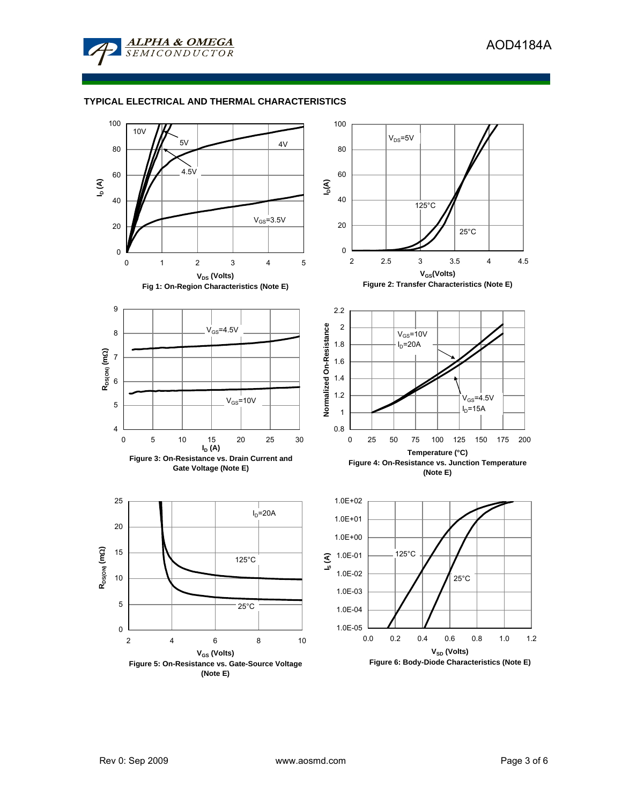

## **TYPICAL ELECTRICAL AND THERMAL CHARACTERISTICS**

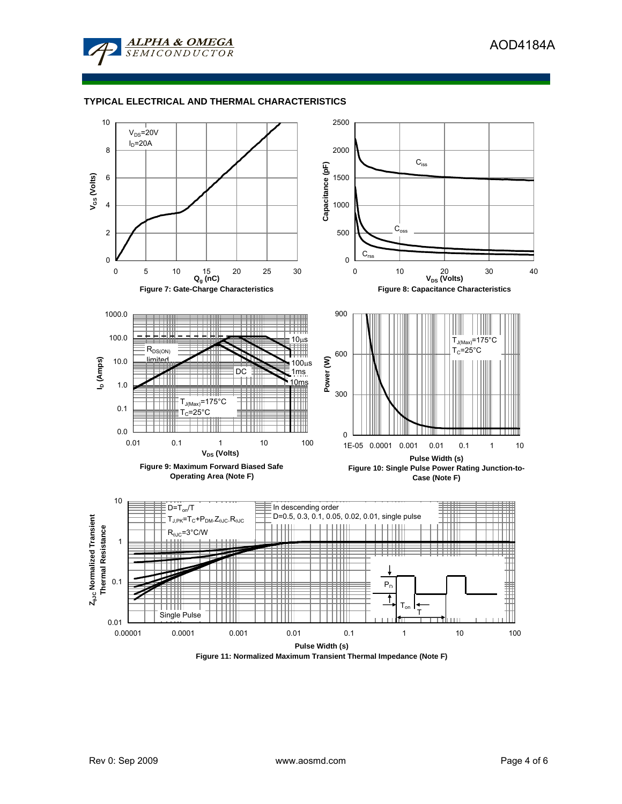

## **TYPICAL ELECTRICAL AND THERMAL CHARACTERISTICS**



**Figure 11: Normalized Maximum Transient Thermal Impedance (Note F)**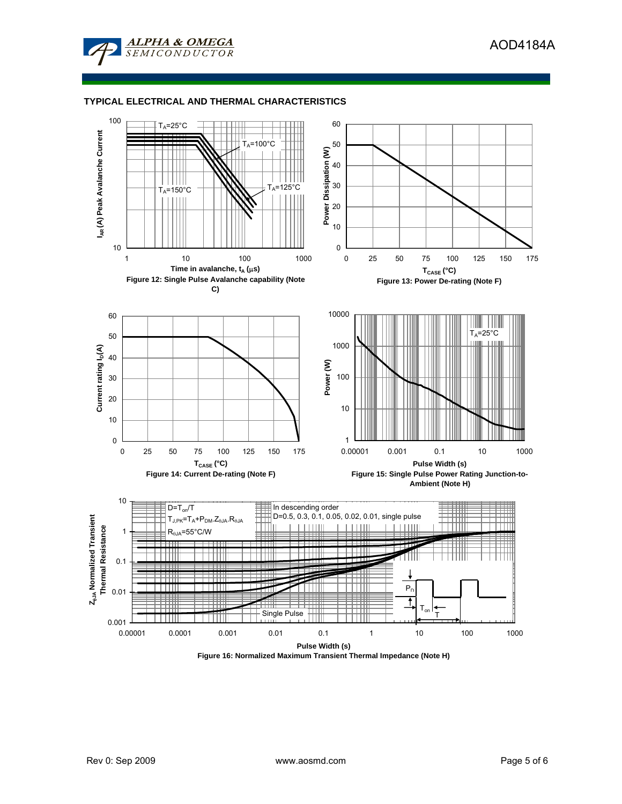

# **TYPICAL ELECTRICAL AND THERMAL CHARACTERISTICS**



**Figure 16: Normalized Maximum Transient Thermal Impedance (Note H)**